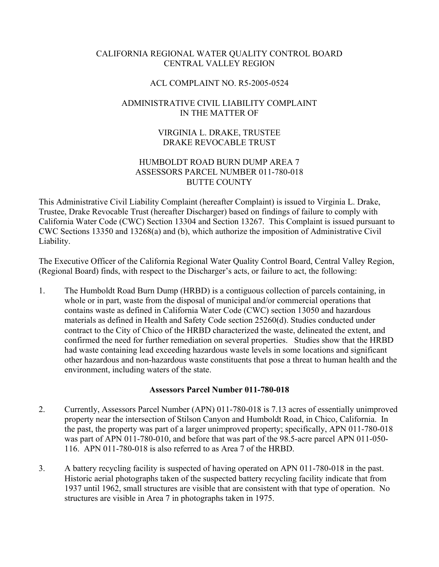## CALIFORNIA REGIONAL WATER QUALITY CONTROL BOARD CENTRAL VALLEY REGION

### ACL COMPLAINT NO. R5-2005-0524

# ADMINISTRATIVE CIVIL LIABILITY COMPLAINT IN THE MATTER OF

## VIRGINIA L. DRAKE, TRUSTEE DRAKE REVOCABLE TRUST

### HUMBOLDT ROAD BURN DUMP AREA 7 ASSESSORS PARCEL NUMBER 011-780-018 BUTTE COUNTY

This Administrative Civil Liability Complaint (hereafter Complaint) is issued to Virginia L. Drake, Trustee, Drake Revocable Trust (hereafter Discharger) based on findings of failure to comply with California Water Code (CWC) Section 13304 and Section 13267. This Complaint is issued pursuant to CWC Sections 13350 and 13268(a) and (b), which authorize the imposition of Administrative Civil Liability.

The Executive Officer of the California Regional Water Quality Control Board, Central Valley Region, (Regional Board) finds, with respect to the Discharger's acts, or failure to act, the following:

1. The Humboldt Road Burn Dump (HRBD) is a contiguous collection of parcels containing, in whole or in part, waste from the disposal of municipal and/or commercial operations that contains waste as defined in California Water Code (CWC) section 13050 and hazardous materials as defined in Health and Safety Code section 25260(d). Studies conducted under contract to the City of Chico of the HRBD characterized the waste, delineated the extent, and confirmed the need for further remediation on several properties. Studies show that the HRBD had waste containing lead exceeding hazardous waste levels in some locations and significant other hazardous and non-hazardous waste constituents that pose a threat to human health and the environment, including waters of the state.

### **Assessors Parcel Number 011-780-018**

- 2. Currently, Assessors Parcel Number (APN) 011-780-018 is 7.13 acres of essentially unimproved property near the intersection of Stilson Canyon and Humboldt Road, in Chico, California. In the past, the property was part of a larger unimproved property; specifically, APN 011-780-018 was part of APN 011-780-010, and before that was part of the 98.5-acre parcel APN 011-050- 116. APN 011-780-018 is also referred to as Area 7 of the HRBD.
- 3. A battery recycling facility is suspected of having operated on APN 011-780-018 in the past. Historic aerial photographs taken of the suspected battery recycling facility indicate that from 1937 until 1962, small structures are visible that are consistent with that type of operation. No structures are visible in Area 7 in photographs taken in 1975.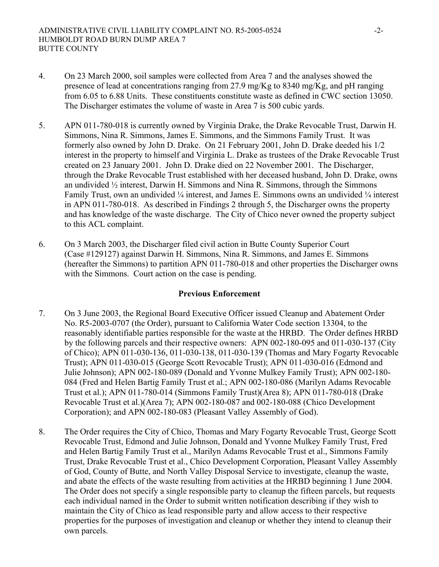- 4. On 23 March 2000, soil samples were collected from Area 7 and the analyses showed the presence of lead at concentrations ranging from 27.9 mg/Kg to 8340 mg/Kg, and pH ranging from 6.05 to 6.88 Units. These constituents constitute waste as defined in CWC section 13050. The Discharger estimates the volume of waste in Area 7 is 500 cubic yards.
- 5. APN 011-780-018 is currently owned by Virginia Drake, the Drake Revocable Trust, Darwin H. Simmons, Nina R. Simmons, James E. Simmons, and the Simmons Family Trust. It was formerly also owned by John D. Drake. On 21 February 2001, John D. Drake deeded his 1/2 interest in the property to himself and Virginia L. Drake as trustees of the Drake Revocable Trust created on 23 January 2001. John D. Drake died on 22 November 2001. The Discharger, through the Drake Revocable Trust established with her deceased husband, John D. Drake, owns an undivided  $\frac{1}{2}$  interest, Darwin H. Simmons and Nina R. Simmons, through the Simmons Family Trust, own an undivided ¼ interest, and James E. Simmons owns an undivided ¼ interest in APN 011-780-018. As described in Findings 2 through 5, the Discharger owns the property and has knowledge of the waste discharge. The City of Chico never owned the property subject to this ACL complaint.
- 6. On 3 March 2003, the Discharger filed civil action in Butte County Superior Court (Case #129127) against Darwin H. Simmons, Nina R. Simmons, and James E. Simmons (hereafter the Simmons) to partition APN 011-780-018 and other properties the Discharger owns with the Simmons. Court action on the case is pending.

### **Previous Enforcement**

- 7. On 3 June 2003, the Regional Board Executive Officer issued Cleanup and Abatement Order No. R5-2003-0707 (the Order), pursuant to California Water Code section 13304, to the reasonably identifiable parties responsible for the waste at the HRBD. The Order defines HRBD by the following parcels and their respective owners: APN 002-180-095 and 011-030-137 (City of Chico); APN 011-030-136, 011-030-138, 011-030-139 (Thomas and Mary Fogarty Revocable Trust); APN 011-030-015 (George Scott Revocable Trust); APN 011-030-016 (Edmond and Julie Johnson); APN 002-180-089 (Donald and Yvonne Mulkey Family Trust); APN 002-180- 084 (Fred and Helen Bartig Family Trust et al.; APN 002-180-086 (Marilyn Adams Revocable Trust et al.); APN 011-780-014 (Simmons Family Trust)(Area 8); APN 011-780-018 (Drake Revocable Trust et al.)(Area 7); APN 002-180-087 and 002-180-088 (Chico Development Corporation); and APN 002-180-083 (Pleasant Valley Assembly of God).
- 8. The Order requires the City of Chico, Thomas and Mary Fogarty Revocable Trust, George Scott Revocable Trust, Edmond and Julie Johnson, Donald and Yvonne Mulkey Family Trust, Fred and Helen Bartig Family Trust et al., Marilyn Adams Revocable Trust et al., Simmons Family Trust, Drake Revocable Trust et al., Chico Development Corporation, Pleasant Valley Assembly of God, County of Butte, and North Valley Disposal Service to investigate, cleanup the waste, and abate the effects of the waste resulting from activities at the HRBD beginning 1 June 2004. The Order does not specify a single responsible party to cleanup the fifteen parcels, but requests each individual named in the Order to submit written notification describing if they wish to maintain the City of Chico as lead responsible party and allow access to their respective properties for the purposes of investigation and cleanup or whether they intend to cleanup their own parcels.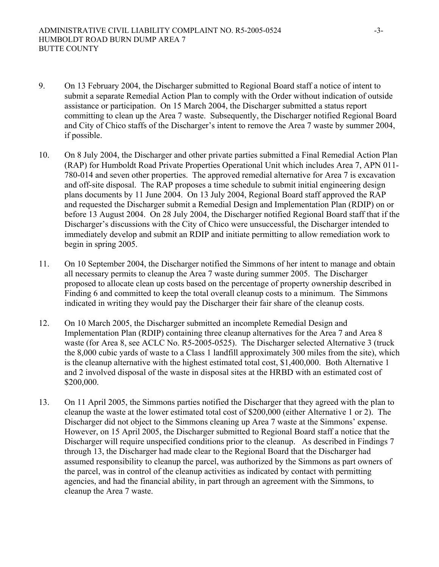- 9. On 13 February 2004, the Discharger submitted to Regional Board staff a notice of intent to submit a separate Remedial Action Plan to comply with the Order without indication of outside assistance or participation. On 15 March 2004, the Discharger submitted a status report committing to clean up the Area 7 waste. Subsequently, the Discharger notified Regional Board and City of Chico staffs of the Discharger's intent to remove the Area 7 waste by summer 2004, if possible.
- 10. On 8 July 2004, the Discharger and other private parties submitted a Final Remedial Action Plan (RAP) for Humboldt Road Private Properties Operational Unit which includes Area 7, APN 011- 780-014 and seven other properties. The approved remedial alternative for Area 7 is excavation and off-site disposal. The RAP proposes a time schedule to submit initial engineering design plans documents by 11 June 2004. On 13 July 2004, Regional Board staff approved the RAP and requested the Discharger submit a Remedial Design and Implementation Plan (RDIP) on or before 13 August 2004. On 28 July 2004, the Discharger notified Regional Board staff that if the Discharger's discussions with the City of Chico were unsuccessful, the Discharger intended to immediately develop and submit an RDIP and initiate permitting to allow remediation work to begin in spring 2005.
- 11. On 10 September 2004, the Discharger notified the Simmons of her intent to manage and obtain all necessary permits to cleanup the Area 7 waste during summer 2005. The Discharger proposed to allocate clean up costs based on the percentage of property ownership described in Finding 6 and committed to keep the total overall cleanup costs to a minimum. The Simmons indicated in writing they would pay the Discharger their fair share of the cleanup costs.
- 12. On 10 March 2005, the Discharger submitted an incomplete Remedial Design and Implementation Plan (RDIP) containing three cleanup alternatives for the Area 7 and Area 8 waste (for Area 8, see ACLC No. R5-2005-0525). The Discharger selected Alternative 3 (truck the 8,000 cubic yards of waste to a Class 1 landfill approximately 300 miles from the site), which is the cleanup alternative with the highest estimated total cost, \$1,400,000. Both Alternative 1 and 2 involved disposal of the waste in disposal sites at the HRBD with an estimated cost of \$200,000.
- 13. On 11 April 2005, the Simmons parties notified the Discharger that they agreed with the plan to cleanup the waste at the lower estimated total cost of \$200,000 (either Alternative 1 or 2). The Discharger did not object to the Simmons cleaning up Area 7 waste at the Simmons' expense. However, on 15 April 2005, the Discharger submitted to Regional Board staff a notice that the Discharger will require unspecified conditions prior to the cleanup. As described in Findings 7 through 13, the Discharger had made clear to the Regional Board that the Discharger had assumed responsibility to cleanup the parcel, was authorized by the Simmons as part owners of the parcel, was in control of the cleanup activities as indicated by contact with permitting agencies, and had the financial ability, in part through an agreement with the Simmons, to cleanup the Area 7 waste.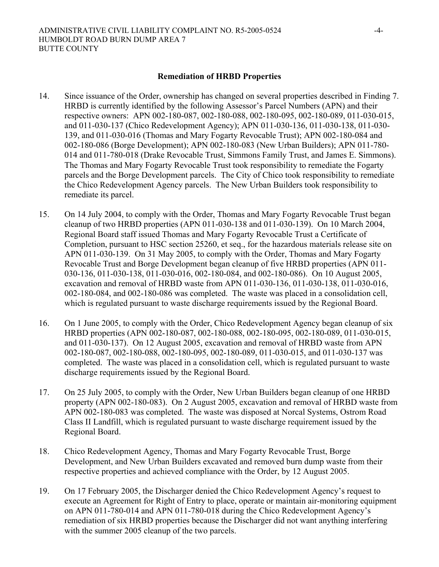#### **Remediation of HRBD Properties**

- 14. Since issuance of the Order, ownership has changed on several properties described in Finding 7. HRBD is currently identified by the following Assessor's Parcel Numbers (APN) and their respective owners: APN 002-180-087, 002-180-088, 002-180-095, 002-180-089, 011-030-015, and 011-030-137 (Chico Redevelopment Agency); APN 011-030-136, 011-030-138, 011-030- 139, and 011-030-016 (Thomas and Mary Fogarty Revocable Trust); APN 002-180-084 and 002-180-086 (Borge Development); APN 002-180-083 (New Urban Builders); APN 011-780- 014 and 011-780-018 (Drake Revocable Trust, Simmons Family Trust, and James E. Simmons). The Thomas and Mary Fogarty Revocable Trust took responsibility to remediate the Fogarty parcels and the Borge Development parcels. The City of Chico took responsibility to remediate the Chico Redevelopment Agency parcels. The New Urban Builders took responsibility to remediate its parcel.
- 15. On 14 July 2004, to comply with the Order, Thomas and Mary Fogarty Revocable Trust began cleanup of two HRBD properties (APN 011-030-138 and 011-030-139). On 10 March 2004, Regional Board staff issued Thomas and Mary Fogarty Revocable Trust a Certificate of Completion, pursuant to HSC section 25260, et seq., for the hazardous materials release site on APN 011-030-139. On 31 May 2005, to comply with the Order, Thomas and Mary Fogarty Revocable Trust and Borge Development began cleanup of five HRBD properties (APN 011- 030-136, 011-030-138, 011-030-016, 002-180-084, and 002-180-086). On 10 August 2005, excavation and removal of HRBD waste from APN 011-030-136, 011-030-138, 011-030-016, 002-180-084, and 002-180-086 was completed. The waste was placed in a consolidation cell, which is regulated pursuant to waste discharge requirements issued by the Regional Board.
- 16. On 1 June 2005, to comply with the Order, Chico Redevelopment Agency began cleanup of six HRBD properties (APN 002-180-087, 002-180-088, 002-180-095, 002-180-089, 011-030-015, and 011-030-137). On 12 August 2005, excavation and removal of HRBD waste from APN 002-180-087, 002-180-088, 002-180-095, 002-180-089, 011-030-015, and 011-030-137 was completed. The waste was placed in a consolidation cell, which is regulated pursuant to waste discharge requirements issued by the Regional Board.
- 17. On 25 July 2005, to comply with the Order, New Urban Builders began cleanup of one HRBD property (APN 002-180-083). On 2 August 2005, excavation and removal of HRBD waste from APN 002-180-083 was completed. The waste was disposed at Norcal Systems, Ostrom Road Class II Landfill, which is regulated pursuant to waste discharge requirement issued by the Regional Board.
- 18. Chico Redevelopment Agency, Thomas and Mary Fogarty Revocable Trust, Borge Development, and New Urban Builders excavated and removed burn dump waste from their respective properties and achieved compliance with the Order, by 12 August 2005.
- 19. On 17 February 2005, the Discharger denied the Chico Redevelopment Agency's request to execute an Agreement for Right of Entry to place, operate or maintain air-monitoring equipment on APN 011-780-014 and APN 011-780-018 during the Chico Redevelopment Agency's remediation of six HRBD properties because the Discharger did not want anything interfering with the summer 2005 cleanup of the two parcels.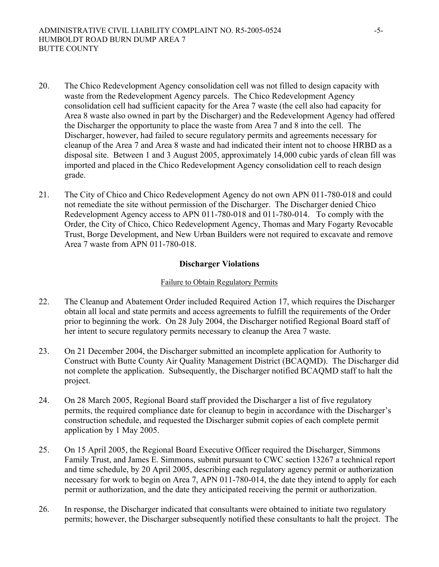- 20. The Chico Redevelopment Agency consolidation cell was not filled to design capacity with waste from the Redevelopment Agency parcels. The Chico Redevelopment Agency consolidation cell had sufficient capacity for the Area 7 waste (the cell also had capacity for Area 8 waste also owned in part by the Discharger) and the Redevelopment Agency had offered the Discharger the opportunity to place the waste from Area 7 and 8 into the cell. The Discharger, however, had failed to secure regulatory permits and agreements necessary for cleanup of the Area 7 and Area 8 waste and had indicated their intent not to choose HRBD as a disposal site. Between 1 and 3 August 2005, approximately 14,000 cubic yards of clean fill was imported and placed in the Chico Redevelopment Agency consolidation cell to reach design grade.
- 21. The City of Chico and Chico Redevelopment Agency do not own APN 011-780-018 and could not remediate the site without permission of the Discharger. The Discharger denied Chico Redevelopment Agency access to APN 011-780-018 and 011-780-014. To comply with the Order, the City of Chico, Chico Redevelopment Agency, Thomas and Mary Fogarty Revocable Trust, Borge Development, and New Urban Builders were not required to excavate and remove Area 7 waste from APN 011-780-018.

### **Discharger Violations**

#### Failure to Obtain Regulatory Permits

- 22. The Cleanup and Abatement Order included Required Action 17, which requires the Discharger obtain all local and state permits and access agreements to fulfill the requirements of the Order prior to beginning the work. On 28 July 2004, the Discharger notified Regional Board staff of her intent to secure regulatory permits necessary to cleanup the Area 7 waste.
- 23. On 21 December 2004, the Discharger submitted an incomplete application for Authority to Construct with Butte County Air Quality Management District (BCAQMD). The Discharger did not complete the application. Subsequently, the Discharger notified BCAQMD staff to halt the project.
- 24. On 28 March 2005, Regional Board staff provided the Discharger a list of five regulatory permits, the required compliance date for cleanup to begin in accordance with the Discharger's construction schedule, and requested the Discharger submit copies of each complete permit application by 1 May 2005.
- 25. On 15 April 2005, the Regional Board Executive Officer required the Discharger, Simmons Family Trust, and James E. Simmons, submit pursuant to CWC section 13267 a technical report and time schedule, by 20 April 2005, describing each regulatory agency permit or authorization necessary for work to begin on Area 7, APN 011-780-014, the date they intend to apply for each permit or authorization, and the date they anticipated receiving the permit or authorization.
- 26. In response, the Discharger indicated that consultants were obtained to initiate two regulatory permits; however, the Discharger subsequently notified these consultants to halt the project. The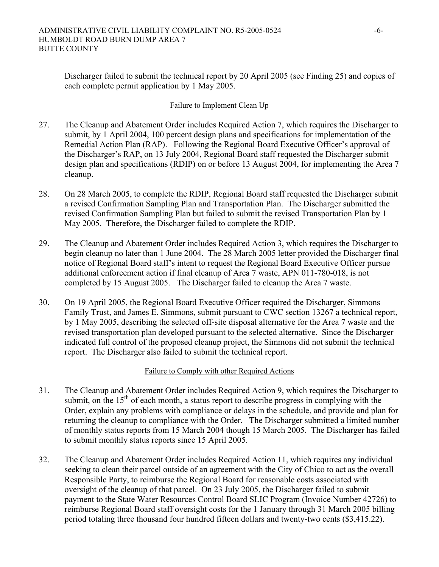Discharger failed to submit the technical report by 20 April 2005 (see Finding 25) and copies of each complete permit application by 1 May 2005.

#### Failure to Implement Clean Up

- 27. The Cleanup and Abatement Order includes Required Action 7, which requires the Discharger to submit, by 1 April 2004, 100 percent design plans and specifications for implementation of the Remedial Action Plan (RAP). Following the Regional Board Executive Officer's approval of the Discharger's RAP, on 13 July 2004, Regional Board staff requested the Discharger submit design plan and specifications (RDIP) on or before 13 August 2004, for implementing the Area 7 cleanup.
- 28. On 28 March 2005, to complete the RDIP, Regional Board staff requested the Discharger submit a revised Confirmation Sampling Plan and Transportation Plan. The Discharger submitted the revised Confirmation Sampling Plan but failed to submit the revised Transportation Plan by 1 May 2005. Therefore, the Discharger failed to complete the RDIP.
- 29. The Cleanup and Abatement Order includes Required Action 3, which requires the Discharger to begin cleanup no later than 1 June 2004. The 28 March 2005 letter provided the Discharger final notice of Regional Board staff's intent to request the Regional Board Executive Officer pursue additional enforcement action if final cleanup of Area 7 waste, APN 011-780-018, is not completed by 15 August 2005. The Discharger failed to cleanup the Area 7 waste.
- 30. On 19 April 2005, the Regional Board Executive Officer required the Discharger, Simmons Family Trust, and James E. Simmons, submit pursuant to CWC section 13267 a technical report, by 1 May 2005, describing the selected off-site disposal alternative for the Area 7 waste and the revised transportation plan developed pursuant to the selected alternative. Since the Discharger indicated full control of the proposed cleanup project, the Simmons did not submit the technical report. The Discharger also failed to submit the technical report.

#### Failure to Comply with other Required Actions

- 31. The Cleanup and Abatement Order includes Required Action 9, which requires the Discharger to submit, on the  $15<sup>th</sup>$  of each month, a status report to describe progress in complying with the Order, explain any problems with compliance or delays in the schedule, and provide and plan for returning the cleanup to compliance with the Order. The Discharger submitted a limited number of monthly status reports from 15 March 2004 though 15 March 2005. The Discharger has failed to submit monthly status reports since 15 April 2005.
- 32. The Cleanup and Abatement Order includes Required Action 11, which requires any individual seeking to clean their parcel outside of an agreement with the City of Chico to act as the overall Responsible Party, to reimburse the Regional Board for reasonable costs associated with oversight of the cleanup of that parcel. On 23 July 2005, the Discharger failed to submit payment to the State Water Resources Control Board SLIC Program (Invoice Number 42726) to reimburse Regional Board staff oversight costs for the 1 January through 31 March 2005 billing period totaling three thousand four hundred fifteen dollars and twenty-two cents (\$3,415.22).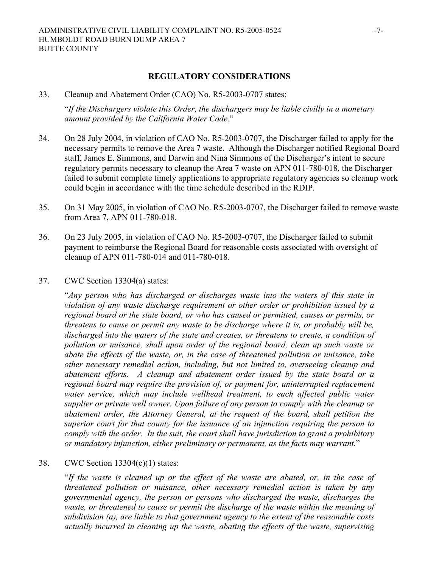33. Cleanup and Abatement Order (CAO) No. R5-2003-0707 states:

"*If the Dischargers violate this Order, the dischargers may be liable civilly in a monetary amount provided by the California Water Code.*"

- 34. On 28 July 2004, in violation of CAO No. R5-2003-0707, the Discharger failed to apply for the necessary permits to remove the Area 7 waste. Although the Discharger notified Regional Board staff, James E. Simmons, and Darwin and Nina Simmons of the Discharger's intent to secure regulatory permits necessary to cleanup the Area 7 waste on APN 011-780-018, the Discharger failed to submit complete timely applications to appropriate regulatory agencies so cleanup work could begin in accordance with the time schedule described in the RDIP.
- 35. On 31 May 2005, in violation of CAO No. R5-2003-0707, the Discharger failed to remove waste from Area 7, APN 011-780-018.
- 36. On 23 July 2005, in violation of CAO No. R5-2003-0707, the Discharger failed to submit payment to reimburse the Regional Board for reasonable costs associated with oversight of cleanup of APN 011-780-014 and 011-780-018.
- 37. CWC Section 13304(a) states:

"*Any person who has discharged or discharges waste into the waters of this state in violation of any waste discharge requirement or other order or prohibition issued by a regional board or the state board, or who has caused or permitted, causes or permits, or threatens to cause or permit any waste to be discharge where it is, or probably will be, discharged into the waters of the state and creates, or threatens to create, a condition of pollution or nuisance, shall upon order of the regional board, clean up such waste or abate the effects of the waste, or, in the case of threatened pollution or nuisance, take other necessary remedial action, including, but not limited to, overseeing cleanup and abatement efforts. A cleanup and abatement order issued by the state board or a*  regional board may require the provision of, or payment for, uninterrupted replacement water service, which may include wellhead treatment, to each affected public water *supplier or private well owner. Upon failure of any person to comply with the cleanup or abatement order, the Attorney General, at the request of the board, shall petition the superior court for that county for the issuance of an injunction requiring the person to comply with the order. In the suit, the court shall have jurisdiction to grant a prohibitory or mandatory injunction, either preliminary or permanent, as the facts may warrant.*"

#### 38. CWC Section 13304(c)(1) states:

"*If the waste is cleaned up or the effect of the waste are abated, or, in the case of threatened pollution or nuisance, other necessary remedial action is taken by any governmental agency, the person or persons who discharged the waste, discharges the waste, or threatened to cause or permit the discharge of the waste within the meaning of subdivision (a), are liable to that government agency to the extent of the reasonable costs actually incurred in cleaning up the waste, abating the effects of the waste, supervising*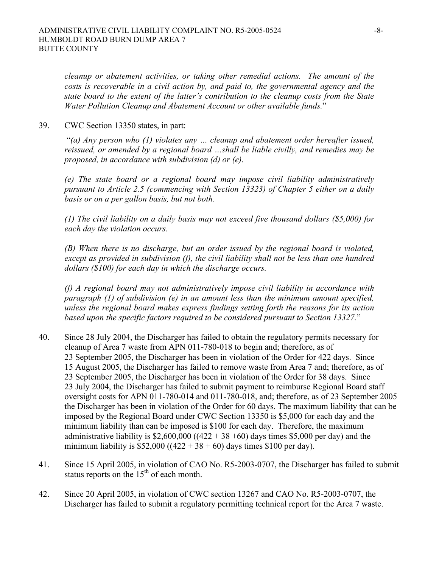*cleanup or abatement activities, or taking other remedial actions. The amount of the costs is recoverable in a civil action by, and paid to, the governmental agency and the state board to the extent of the latter's contribution to the cleanup costs from the State Water Pollution Cleanup and Abatement Account or other available funds.*"

39. CWC Section 13350 states, in part:

 "*(a) Any person who (1) violates any … cleanup and abatement order hereafter issued, reissued, or amended by a regional board …shall be liable civilly, and remedies may be proposed, in accordance with subdivision (d) or (e).* 

*(e) The state board or a regional board may impose civil liability administratively pursuant to Article 2.5 (commencing with Section 13323) of Chapter 5 either on a daily basis or on a per gallon basis, but not both.* 

*(1) The civil liability on a daily basis may not exceed five thousand dollars (\$5,000) for each day the violation occurs.* 

*(B) When there is no discharge, but an order issued by the regional board is violated, except as provided in subdivision (f), the civil liability shall not be less than one hundred dollars (\$100) for each day in which the discharge occurs.* 

*(f) A regional board may not administratively impose civil liability in accordance with paragraph (1) of subdivision (e) in an amount less than the minimum amount specified, unless the regional board makes express findings setting forth the reasons for its action based upon the specific factors required to be considered pursuant to Section 13327.*"

- 40. Since 28 July 2004, the Discharger has failed to obtain the regulatory permits necessary for cleanup of Area 7 waste from APN 011-780-018 to begin and; therefore, as of 23 September 2005, the Discharger has been in violation of the Order for 422 days. Since 15 August 2005, the Discharger has failed to remove waste from Area 7 and; therefore, as of 23 September 2005, the Discharger has been in violation of the Order for 38 days. Since 23 July 2004, the Discharger has failed to submit payment to reimburse Regional Board staff oversight costs for APN 011-780-014 and 011-780-018, and; therefore, as of 23 September 2005 the Discharger has been in violation of the Order for 60 days. The maximum liability that can be imposed by the Regional Board under CWC Section 13350 is \$5,000 for each day and the minimum liability than can be imposed is \$100 for each day. Therefore, the maximum administrative liability is  $$2,600,000$  ((422 + 38 +60) days times  $$5,000$  per day) and the minimum liability is \$52,000 ((422 + 38 + 60) days times \$100 per day).
- 41. Since 15 April 2005, in violation of CAO No. R5-2003-0707, the Discharger has failed to submit status reports on the  $15<sup>th</sup>$  of each month.
- 42. Since 20 April 2005, in violation of CWC section 13267 and CAO No. R5-2003-0707, the Discharger has failed to submit a regulatory permitting technical report for the Area 7 waste.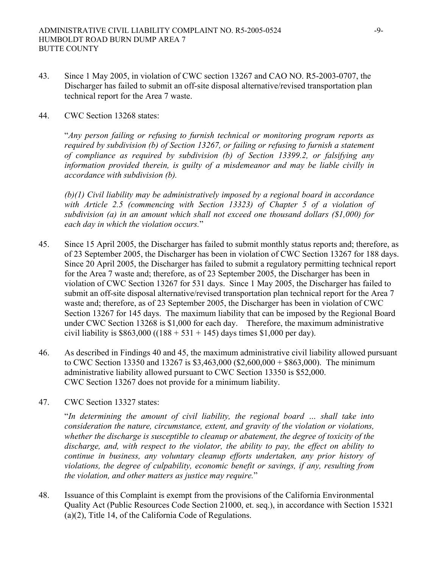- 43. Since 1 May 2005, in violation of CWC section 13267 and CAO NO. R5-2003-0707, the Discharger has failed to submit an off-site disposal alternative/revised transportation plan technical report for the Area 7 waste.
- 44. CWC Section 13268 states:

"*Any person failing or refusing to furnish technical or monitoring program reports as required by subdivision (b) of Section 13267, or failing or refusing to furnish a statement of compliance as required by subdivision (b) of Section 13399.2, or falsifying any information provided therein, is guilty of a misdemeanor and may be liable civilly in accordance with subdivision (b).* 

*(b)(1) Civil liability may be administratively imposed by a regional board in accordance with Article 2.5 (commencing with Section 13323) of Chapter 5 of a violation of subdivision (a) in an amount which shall not exceed one thousand dollars (\$1,000) for each day in which the violation occurs.*"

- 45. Since 15 April 2005, the Discharger has failed to submit monthly status reports and; therefore, as of 23 September 2005, the Discharger has been in violation of CWC Section 13267 for 188 days. Since 20 April 2005, the Discharger has failed to submit a regulatory permitting technical report for the Area 7 waste and; therefore, as of 23 September 2005, the Discharger has been in violation of CWC Section 13267 for 531 days. Since 1 May 2005, the Discharger has failed to submit an off-site disposal alternative/revised transportation plan technical report for the Area 7 waste and; therefore, as of 23 September 2005, the Discharger has been in violation of CWC Section 13267 for 145 days. The maximum liability that can be imposed by the Regional Board under CWC Section 13268 is \$1,000 for each day. Therefore, the maximum administrative civil liability is  $$863,000 ((188 + 531 + 145)$  days times \$1,000 per day).
- 46. As described in Findings 40 and 45, the maximum administrative civil liability allowed pursuant to CWC Section 13350 and 13267 is \$3,463,000 (\$2,600,000 + \$863,000). The minimum administrative liability allowed pursuant to CWC Section 13350 is \$52,000. CWC Section 13267 does not provide for a minimum liability.
- 47. CWC Section 13327 states:

"*In determining the amount of civil liability, the regional board … shall take into consideration the nature, circumstance, extent, and gravity of the violation or violations, whether the discharge is susceptible to cleanup or abatement, the degree of toxicity of the discharge, and, with respect to the violator, the ability to pay, the effect on ability to continue in business, any voluntary cleanup efforts undertaken, any prior history of violations, the degree of culpability, economic benefit or savings, if any, resulting from the violation, and other matters as justice may require.*"

48. Issuance of this Complaint is exempt from the provisions of the California Environmental Quality Act (Public Resources Code Section 21000, et. seq.), in accordance with Section 15321 (a)(2), Title 14, of the California Code of Regulations.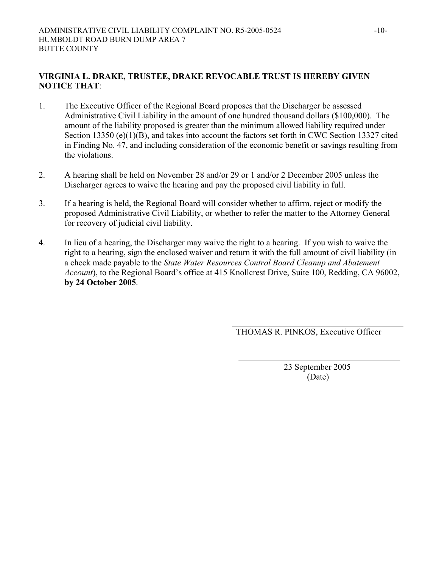### **VIRGINIA L. DRAKE, TRUSTEE, DRAKE REVOCABLE TRUST IS HEREBY GIVEN NOTICE THAT**:

- 1. The Executive Officer of the Regional Board proposes that the Discharger be assessed Administrative Civil Liability in the amount of one hundred thousand dollars (\$100,000). The amount of the liability proposed is greater than the minimum allowed liability required under Section 13350 (e)(1)(B), and takes into account the factors set forth in CWC Section 13327 cited in Finding No. 47, and including consideration of the economic benefit or savings resulting from the violations.
- 2. A hearing shall be held on November 28 and/or 29 or 1 and/or 2 December 2005 unless the Discharger agrees to waive the hearing and pay the proposed civil liability in full.
- 3. If a hearing is held, the Regional Board will consider whether to affirm, reject or modify the proposed Administrative Civil Liability, or whether to refer the matter to the Attorney General for recovery of judicial civil liability.
- 4. In lieu of a hearing, the Discharger may waive the right to a hearing. If you wish to waive the right to a hearing, sign the enclosed waiver and return it with the full amount of civil liability (in a check made payable to the *State Water Resources Control Board Cleanup and Abatement Account*), to the Regional Board's office at 415 Knollcrest Drive, Suite 100, Redding, CA 96002, **by 24 October 2005**.

THOMAS R. PINKOS, Executive Officer

23 September 2005 (Date)